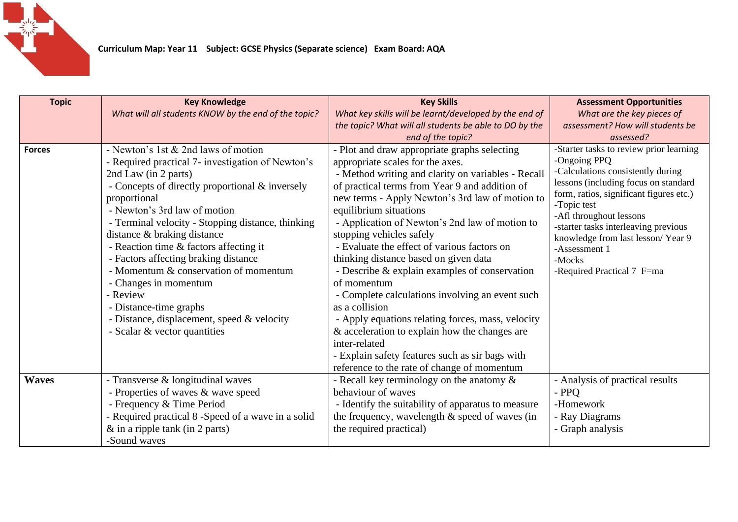

| <b>Topic</b>  | <b>Key Knowledge</b>                                                                                                                                                                                                                                                                                                                                                                                                                                                                                                                                                            | <b>Key Skills</b>                                                                                                                                                                                                                                                                                                                                                                                                                                                                                                                                                                                                                                                                                                                                                                                         | <b>Assessment Opportunities</b>                                                                                                                                                                                                                                                                                                                                 |
|---------------|---------------------------------------------------------------------------------------------------------------------------------------------------------------------------------------------------------------------------------------------------------------------------------------------------------------------------------------------------------------------------------------------------------------------------------------------------------------------------------------------------------------------------------------------------------------------------------|-----------------------------------------------------------------------------------------------------------------------------------------------------------------------------------------------------------------------------------------------------------------------------------------------------------------------------------------------------------------------------------------------------------------------------------------------------------------------------------------------------------------------------------------------------------------------------------------------------------------------------------------------------------------------------------------------------------------------------------------------------------------------------------------------------------|-----------------------------------------------------------------------------------------------------------------------------------------------------------------------------------------------------------------------------------------------------------------------------------------------------------------------------------------------------------------|
|               | What will all students KNOW by the end of the topic?                                                                                                                                                                                                                                                                                                                                                                                                                                                                                                                            | What key skills will be learnt/developed by the end of                                                                                                                                                                                                                                                                                                                                                                                                                                                                                                                                                                                                                                                                                                                                                    | What are the key pieces of                                                                                                                                                                                                                                                                                                                                      |
|               |                                                                                                                                                                                                                                                                                                                                                                                                                                                                                                                                                                                 | the topic? What will all students be able to DO by the                                                                                                                                                                                                                                                                                                                                                                                                                                                                                                                                                                                                                                                                                                                                                    | assessment? How will students be                                                                                                                                                                                                                                                                                                                                |
|               |                                                                                                                                                                                                                                                                                                                                                                                                                                                                                                                                                                                 | end of the topic?                                                                                                                                                                                                                                                                                                                                                                                                                                                                                                                                                                                                                                                                                                                                                                                         | assessed?                                                                                                                                                                                                                                                                                                                                                       |
| <b>Forces</b> | - Newton's 1st & 2nd laws of motion<br>- Required practical 7- investigation of Newton's<br>2nd Law (in 2 parts)<br>- Concepts of directly proportional & inversely<br>proportional<br>- Newton's 3rd law of motion<br>- Terminal velocity - Stopping distance, thinking<br>distance & braking distance<br>- Reaction time & factors affecting it<br>- Factors affecting braking distance<br>- Momentum & conservation of momentum<br>- Changes in momentum<br>- Review<br>- Distance-time graphs<br>- Distance, displacement, speed & velocity<br>- Scalar & vector quantities | - Plot and draw appropriate graphs selecting<br>appropriate scales for the axes.<br>- Method writing and clarity on variables - Recall<br>of practical terms from Year 9 and addition of<br>new terms - Apply Newton's 3rd law of motion to<br>equilibrium situations<br>- Application of Newton's 2nd law of motion to<br>stopping vehicles safely<br>- Evaluate the effect of various factors on<br>thinking distance based on given data<br>- Describe & explain examples of conservation<br>of momentum<br>- Complete calculations involving an event such<br>as a collision<br>- Apply equations relating forces, mass, velocity<br>& acceleration to explain how the changes are<br>inter-related<br>- Explain safety features such as sir bags with<br>reference to the rate of change of momentum | -Starter tasks to review prior learning<br>-Ongoing PPQ<br>-Calculations consistently during<br>lessons (including focus on standard<br>form, ratios, significant figures etc.)<br>-Topic test<br>-Afl throughout lessons<br>-starter tasks interleaving previous<br>knowledge from last lesson/Year 9<br>-Assessment 1<br>-Mocks<br>-Required Practical 7 F=ma |
| <b>Waves</b>  | - Transverse & longitudinal waves<br>- Properties of waves & wave speed                                                                                                                                                                                                                                                                                                                                                                                                                                                                                                         | - Recall key terminology on the anatomy $\&$<br>behaviour of waves                                                                                                                                                                                                                                                                                                                                                                                                                                                                                                                                                                                                                                                                                                                                        | - Analysis of practical results<br>- PPO                                                                                                                                                                                                                                                                                                                        |
|               | - Frequency & Time Period                                                                                                                                                                                                                                                                                                                                                                                                                                                                                                                                                       | - Identify the suitability of apparatus to measure                                                                                                                                                                                                                                                                                                                                                                                                                                                                                                                                                                                                                                                                                                                                                        | -Homework                                                                                                                                                                                                                                                                                                                                                       |
|               | - Required practical 8 -Speed of a wave in a solid                                                                                                                                                                                                                                                                                                                                                                                                                                                                                                                              | the frequency, wavelength $\&$ speed of waves (in                                                                                                                                                                                                                                                                                                                                                                                                                                                                                                                                                                                                                                                                                                                                                         | - Ray Diagrams                                                                                                                                                                                                                                                                                                                                                  |
|               | $&$ in a ripple tank (in 2 parts)                                                                                                                                                                                                                                                                                                                                                                                                                                                                                                                                               | the required practical)                                                                                                                                                                                                                                                                                                                                                                                                                                                                                                                                                                                                                                                                                                                                                                                   | - Graph analysis                                                                                                                                                                                                                                                                                                                                                |
|               | -Sound waves                                                                                                                                                                                                                                                                                                                                                                                                                                                                                                                                                                    |                                                                                                                                                                                                                                                                                                                                                                                                                                                                                                                                                                                                                                                                                                                                                                                                           |                                                                                                                                                                                                                                                                                                                                                                 |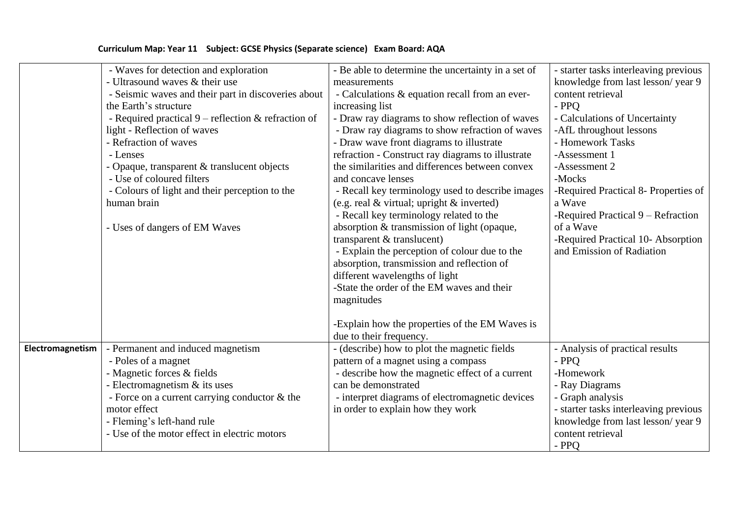## **Curriculum Map: Year 11 Subject: GCSE Physics (Separate science) Exam Board: AQA**

| - Waves for detection and exploration<br>- Be able to determine the uncertainty in a set of<br>- starter tasks interleaving previous<br>- Ultrasound waves & their use<br>knowledge from last lesson/year 9<br>measurements<br>- Seismic waves and their part in discoveries about<br>- Calculations & equation recall from an ever-<br>content retrieval<br>increasing list<br>- PPO<br>the Earth's structure<br>- Required practical $9$ – reflection & refraction of<br>- Draw ray diagrams to show reflection of waves<br>- Calculations of Uncertainty |  |
|-------------------------------------------------------------------------------------------------------------------------------------------------------------------------------------------------------------------------------------------------------------------------------------------------------------------------------------------------------------------------------------------------------------------------------------------------------------------------------------------------------------------------------------------------------------|--|
|                                                                                                                                                                                                                                                                                                                                                                                                                                                                                                                                                             |  |
|                                                                                                                                                                                                                                                                                                                                                                                                                                                                                                                                                             |  |
|                                                                                                                                                                                                                                                                                                                                                                                                                                                                                                                                                             |  |
|                                                                                                                                                                                                                                                                                                                                                                                                                                                                                                                                                             |  |
|                                                                                                                                                                                                                                                                                                                                                                                                                                                                                                                                                             |  |
| light - Reflection of waves<br>- Draw ray diagrams to show refraction of waves<br>-AfL throughout lessons                                                                                                                                                                                                                                                                                                                                                                                                                                                   |  |
| - Refraction of waves<br>- Draw wave front diagrams to illustrate<br>- Homework Tasks                                                                                                                                                                                                                                                                                                                                                                                                                                                                       |  |
| refraction - Construct ray diagrams to illustrate<br>-Assessment 1<br>- Lenses                                                                                                                                                                                                                                                                                                                                                                                                                                                                              |  |
| the similarities and differences between convex<br>- Opaque, transparent & translucent objects<br>-Assessment 2                                                                                                                                                                                                                                                                                                                                                                                                                                             |  |
| - Use of coloured filters<br>-Mocks<br>and concave lenses                                                                                                                                                                                                                                                                                                                                                                                                                                                                                                   |  |
| - Colours of light and their perception to the<br>- Recall key terminology used to describe images<br>-Required Practical 8- Properties of                                                                                                                                                                                                                                                                                                                                                                                                                  |  |
| human brain<br>(e.g. real $\&$ virtual; upright $\&$ inverted)<br>a Wave                                                                                                                                                                                                                                                                                                                                                                                                                                                                                    |  |
| - Recall key terminology related to the<br>-Required Practical 9 – Refraction                                                                                                                                                                                                                                                                                                                                                                                                                                                                               |  |
| absorption & transmission of light (opaque,<br>- Uses of dangers of EM Waves<br>of a Wave                                                                                                                                                                                                                                                                                                                                                                                                                                                                   |  |
| -Required Practical 10- Absorption<br>transparent $&$ translucent)                                                                                                                                                                                                                                                                                                                                                                                                                                                                                          |  |
| - Explain the perception of colour due to the<br>and Emission of Radiation                                                                                                                                                                                                                                                                                                                                                                                                                                                                                  |  |
| absorption, transmission and reflection of                                                                                                                                                                                                                                                                                                                                                                                                                                                                                                                  |  |
| different wavelengths of light                                                                                                                                                                                                                                                                                                                                                                                                                                                                                                                              |  |
| -State the order of the EM waves and their                                                                                                                                                                                                                                                                                                                                                                                                                                                                                                                  |  |
| magnitudes                                                                                                                                                                                                                                                                                                                                                                                                                                                                                                                                                  |  |
|                                                                                                                                                                                                                                                                                                                                                                                                                                                                                                                                                             |  |
| -Explain how the properties of the EM Waves is                                                                                                                                                                                                                                                                                                                                                                                                                                                                                                              |  |
| due to their frequency.                                                                                                                                                                                                                                                                                                                                                                                                                                                                                                                                     |  |
| - Analysis of practical results<br>Electromagnetism<br>- Permanent and induced magnetism<br>- (describe) how to plot the magnetic fields                                                                                                                                                                                                                                                                                                                                                                                                                    |  |
| - Poles of a magnet<br>pattern of a magnet using a compass<br>- PPO                                                                                                                                                                                                                                                                                                                                                                                                                                                                                         |  |
| - Magnetic forces & fields<br>- describe how the magnetic effect of a current<br>-Homework                                                                                                                                                                                                                                                                                                                                                                                                                                                                  |  |
| - Electromagnetism $&$ its uses<br>can be demonstrated<br>- Ray Diagrams                                                                                                                                                                                                                                                                                                                                                                                                                                                                                    |  |
| - interpret diagrams of electromagnetic devices<br>- Graph analysis<br>- Force on a current carrying conductor $&$ the                                                                                                                                                                                                                                                                                                                                                                                                                                      |  |
| motor effect<br>in order to explain how they work<br>- starter tasks interleaving previous                                                                                                                                                                                                                                                                                                                                                                                                                                                                  |  |
| - Fleming's left-hand rule<br>knowledge from last lesson/year 9                                                                                                                                                                                                                                                                                                                                                                                                                                                                                             |  |
| - Use of the motor effect in electric motors<br>content retrieval                                                                                                                                                                                                                                                                                                                                                                                                                                                                                           |  |
| - PPQ                                                                                                                                                                                                                                                                                                                                                                                                                                                                                                                                                       |  |